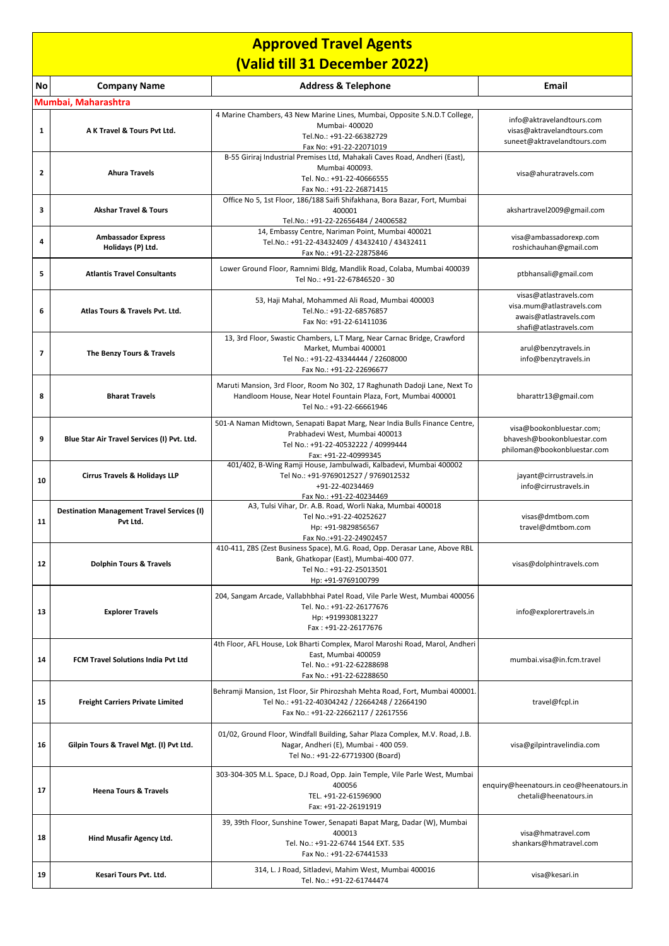| <b>Approved Travel Agents</b> |                                                               |                                                                                                                                                                             |                                                                                                         |  |  |
|-------------------------------|---------------------------------------------------------------|-----------------------------------------------------------------------------------------------------------------------------------------------------------------------------|---------------------------------------------------------------------------------------------------------|--|--|
| (Valid till 31 December 2022) |                                                               |                                                                                                                                                                             |                                                                                                         |  |  |
| No                            | <b>Company Name</b>                                           | <b>Address &amp; Telephone</b>                                                                                                                                              | Email                                                                                                   |  |  |
|                               | Mumbai, Maharashtra                                           |                                                                                                                                                                             |                                                                                                         |  |  |
| 1                             | A K Travel & Tours Pvt Ltd.                                   | 4 Marine Chambers, 43 New Marine Lines, Mumbai, Opposite S.N.D.T College,<br>Mumbai- 400020<br>Tel.No.: +91-22-66382729<br>Fax No: +91-22-22071019                          | info@aktravelandtours.com<br>visas@aktravelandtours.com<br>suneet@aktravelandtours.com                  |  |  |
| $\overline{2}$                | <b>Ahura Travels</b>                                          | B-55 Giriraj Industrial Premises Ltd, Mahakali Caves Road, Andheri (East),<br>Mumbai 400093.<br>Tel. No.: +91-22-40666555<br>Fax No.: +91-22-26871415                       | visa@ahuratravels.com                                                                                   |  |  |
| 3                             | <b>Akshar Travel &amp; Tours</b>                              | Office No 5, 1st Floor, 186/188 Saifi Shifakhana, Bora Bazar, Fort, Mumbai<br>400001<br>Tel.No.: +91-22-22656484 / 24006582                                                 | akshartravel2009@gmail.com                                                                              |  |  |
| 4                             | <b>Ambassador Express</b><br>Holidays (P) Ltd.                | 14, Embassy Centre, Nariman Point, Mumbai 400021<br>Tel.No.: +91-22-43432409 / 43432410 / 43432411<br>Fax No.: +91-22-22875846                                              | visa@ambassadorexp.com<br>roshichauhan@gmail.com                                                        |  |  |
| 5                             | <b>Atlantis Travel Consultants</b>                            | Lower Ground Floor, Ramnimi Bldg, Mandlik Road, Colaba, Mumbai 400039<br>Tel No.: +91-22-67846520 - 30                                                                      | ptbhansali@gmail.com                                                                                    |  |  |
| 6                             | Atlas Tours & Travels Pvt. Ltd.                               | 53, Haji Mahal, Mohammed Ali Road, Mumbai 400003<br>Tel.No.: +91-22-68576857<br>Fax No: +91-22-61411036                                                                     | visas@atlastravels.com<br>visa.mum@atlastravels.com<br>awais@atlastravels.com<br>shafi@atlastravels.com |  |  |
| $\overline{ }$                | The Benzy Tours & Travels                                     | 13, 3rd Floor, Swastic Chambers, L.T Marg, Near Carnac Bridge, Crawford<br>Market, Mumbai 400001<br>Tel No.: +91-22-43344444 / 22608000<br>Fax No.: +91-22-22696677         | arul@benzytravels.in<br>info@benzytravels.in                                                            |  |  |
| 8                             | <b>Bharat Travels</b>                                         | Maruti Mansion, 3rd Floor, Room No 302, 17 Raghunath Dadoji Lane, Next To<br>Handloom House, Near Hotel Fountain Plaza, Fort, Mumbai 400001<br>Tel No.: +91-22-66661946     | bharattr13@gmail.com                                                                                    |  |  |
| 9                             | Blue Star Air Travel Services (I) Pvt. Ltd.                   | 501-A Naman Midtown, Senapati Bapat Marg, Near India Bulls Finance Centre,<br>Prabhadevi West, Mumbai 400013<br>Tel No.: +91-22-40532222 / 40999444<br>Fax: +91-22-40999345 | visa@bookonbluestar.com;<br>bhavesh@bookonbluestar.com<br>philoman@bookonbluestar.com                   |  |  |
| 10                            | Cirrus Travels & Holidays LLP                                 | 401/402, B-Wing Ramji House, Jambulwadi, Kalbadevi, Mumbai 400002<br>Tel No.: +91-9769012527 / 9769012532<br>+91-22-40234469<br>Fax No.: +91-22-40234469                    | jayant@cirrustravels.in<br>info@cirrustravels.in                                                        |  |  |
| 11                            | <b>Destination Management Travel Services (I)</b><br>Pvt Ltd. | A3, Tulsi Vihar, Dr. A.B. Road, Worli Naka, Mumbai 400018<br>Tel No.:+91-22-40252627<br>Hp: +91-9829856567<br>Fax No.:+91-22-24902457                                       | visas@dmtbom.com<br>travel@dmtbom.com                                                                   |  |  |
| 12                            | <b>Dolphin Tours &amp; Travels</b>                            | 410-411, ZBS (Zest Business Space), M.G. Road, Opp. Derasar Lane, Above RBL<br>Bank, Ghatkopar (East), Mumbai-400 077.<br>Tel No.: +91-22-25013501<br>Hp: +91-9769100799    | visas@dolphintravels.com                                                                                |  |  |
| 13                            | <b>Explorer Travels</b>                                       | 204, Sangam Arcade, Vallabhbhai Patel Road, Vile Parle West, Mumbai 400056<br>Tel. No.: +91-22-26177676<br>Hp: +919930813227<br>Fax: +91-22-26177676                        | info@explorertravels.in                                                                                 |  |  |
| 14                            | FCM Travel Solutions India Pvt Ltd                            | 4th Floor, AFL House, Lok Bharti Complex, Marol Maroshi Road, Marol, Andheri<br>East, Mumbai 400059<br>Tel. No.: +91-22-62288698<br>Fax No.: +91-22-62288650                | mumbai.visa@in.fcm.travel                                                                               |  |  |
| 15                            | <b>Freight Carriers Private Limited</b>                       | Behramji Mansion, 1st Floor, Sir Phirozshah Mehta Road, Fort, Mumbai 400001.<br>Tel No.: +91-22-40304242 / 22664248 / 22664190<br>Fax No.: +91-22-22662117 / 22617556       | travel@fcpl.in                                                                                          |  |  |
| 16                            | Gilpin Tours & Travel Mgt. (I) Pvt Ltd.                       | 01/02, Ground Floor, Windfall Building, Sahar Plaza Complex, M.V. Road, J.B.<br>Nagar, Andheri (E), Mumbai - 400 059.<br>Tel No.: +91-22-67719300 (Board)                   | visa@gilpintravelindia.com                                                                              |  |  |
| 17                            | <b>Heena Tours &amp; Travels</b>                              | 303-304-305 M.L. Space, D.J Road, Opp. Jain Temple, Vile Parle West, Mumbai<br>400056<br>TEL. +91-22-61596900<br>Fax: +91-22-26191919                                       | enquiry@heenatours.in ceo@heenatours.in<br>chetali@heenatours.in                                        |  |  |
| 18                            | Hind Musafir Agency Ltd.                                      | 39, 39th Floor, Sunshine Tower, Senapati Bapat Marg, Dadar (W), Mumbai<br>400013<br>Tel. No.: +91-22-6744 1544 EXT. 535<br>Fax No.: +91-22-67441533                         | visa@hmatravel.com<br>shankars@hmatravel.com                                                            |  |  |
| 19                            | Kesari Tours Pvt. Ltd.                                        | 314, L. J Road, Sitladevi, Mahim West, Mumbai 400016<br>Tel. No.: +91-22-61744474                                                                                           | visa@kesari.in                                                                                          |  |  |